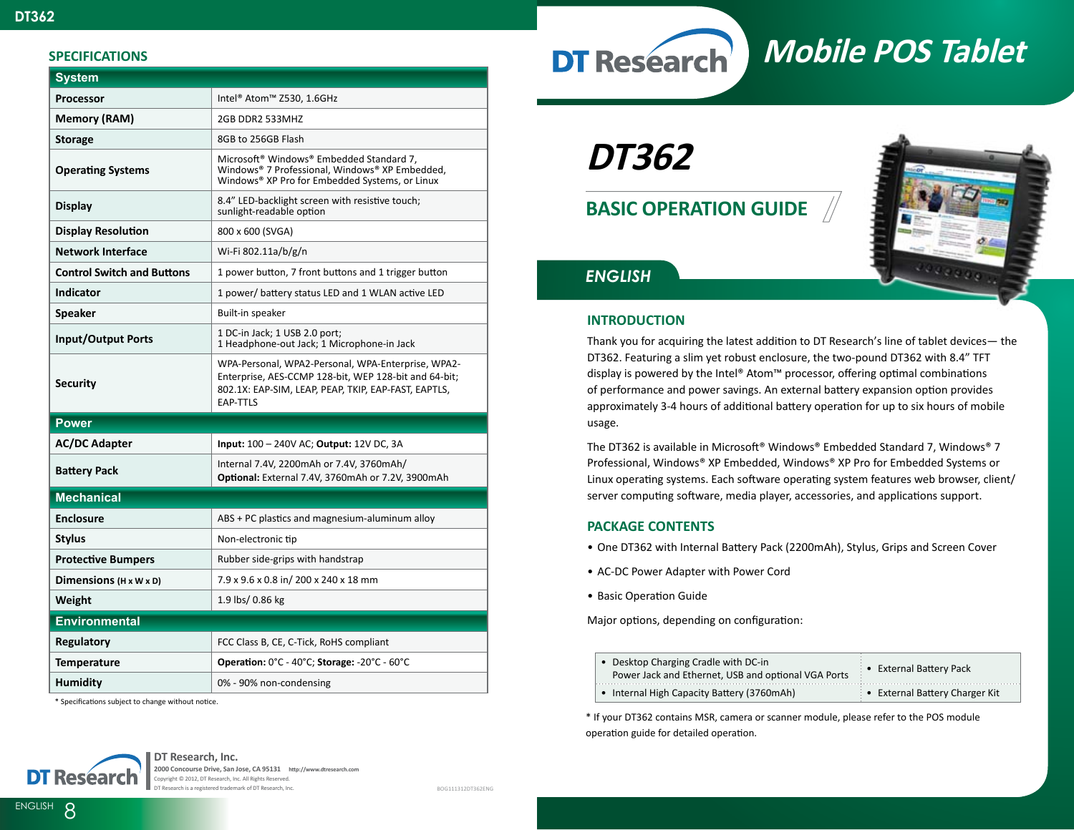## **SPECIFICATIONS**

| <b>System</b>                      |                                                                                                                                                                                        |  |
|------------------------------------|----------------------------------------------------------------------------------------------------------------------------------------------------------------------------------------|--|
| Processor                          | Intel® Atom™ Z530, 1.6GHz                                                                                                                                                              |  |
| Memory (RAM)                       | 2GB DDR2 533MHZ                                                                                                                                                                        |  |
| <b>Storage</b>                     | 8GB to 256GB Flash                                                                                                                                                                     |  |
| <b>Operating Systems</b>           | Microsoft <sup>®</sup> Windows® Embedded Standard 7,<br>Windows® 7 Professional, Windows® XP Embedded,<br>Windows® XP Pro for Embedded Systems, or Linux                               |  |
| <b>Display</b>                     | 8.4" LED-backlight screen with resistive touch;<br>sunlight-readable option                                                                                                            |  |
| <b>Display Resolution</b>          | 800 x 600 (SVGA)                                                                                                                                                                       |  |
| <b>Network Interface</b>           | Wi-Fi 802.11a/b/g/n                                                                                                                                                                    |  |
| <b>Control Switch and Buttons</b>  | 1 power button, 7 front buttons and 1 trigger button                                                                                                                                   |  |
| <b>Indicator</b>                   | 1 power/ battery status LED and 1 WLAN active LED                                                                                                                                      |  |
| Speaker                            | Built-in speaker                                                                                                                                                                       |  |
| <b>Input/Output Ports</b>          | 1 DC-in Jack; 1 USB 2.0 port;<br>1 Headphone-out Jack; 1 Microphone-in Jack                                                                                                            |  |
| <b>Security</b>                    | WPA-Personal, WPA2-Personal, WPA-Enterprise, WPA2-<br>Enterprise, AES-CCMP 128-bit, WEP 128-bit and 64-bit;<br>802.1X: EAP-SIM, LEAP, PEAP, TKIP, EAP-FAST, EAPTLS,<br><b>EAP-TTLS</b> |  |
| <b>Power</b>                       |                                                                                                                                                                                        |  |
| <b>AC/DC Adapter</b>               | Input: 100 - 240V AC; Output: 12V DC, 3A                                                                                                                                               |  |
| <b>Battery Pack</b>                | Internal 7.4V, 2200mAh or 7.4V, 3760mAh/<br>Optional: External 7.4V, 3760mAh or 7.2V, 3900mAh                                                                                          |  |
| <b>Mechanical</b>                  |                                                                                                                                                                                        |  |
| <b>Enclosure</b>                   | ABS + PC plastics and magnesium-aluminum alloy                                                                                                                                         |  |
| <b>Stylus</b>                      | Non-electronic tip                                                                                                                                                                     |  |
| <b>Protective Bumpers</b>          | Rubber side-grips with handstrap                                                                                                                                                       |  |
| Dimensions $(H \times W \times D)$ | 7.9 x 9.6 x 0.8 in/ 200 x 240 x 18 mm                                                                                                                                                  |  |
| Weight                             | 1.9 lbs/ 0.86 kg                                                                                                                                                                       |  |
| <b>Environmental</b>               |                                                                                                                                                                                        |  |
| Regulatory                         | FCC Class B, CE, C-Tick, RoHS compliant                                                                                                                                                |  |
| <b>Temperature</b>                 | Operation: 0°C - 40°C; Storage: -20°C - 60°C                                                                                                                                           |  |
| <b>Humidity</b>                    | 0% - 90% non-condensing                                                                                                                                                                |  |

\* Specifications subject to change without notice.

**DT Research** 

# **DT362**

**BASIC OPERATION GUIDE**



**Mobile POS Tablet**

## *ENGLISH*

## **INTRODUCTION**

Thank you for acquiring the latest addition to DT Research's line of tablet devices— the DT362. Featuring a slim yet robust enclosure, the two-pound DT362 with 8.4" TFT display is powered by the Intel® Atom™ processor, offering optimal combinations of performance and power savings. An external battery expansion option provides approximately 3-4 hours of additional battery operation for up to six hours of mobile usage.

The DT362 is available in Microsoft® Windows® Embedded Standard 7, Windows® 7 Professional, Windows® XP Embedded, Windows® XP Pro for Embedded Systems or Linux operating systems. Each software operating system features web browser, client/ server computing software, media player, accessories, and applications support.

## **PACKAGE CONTENTS**

- One DT362 with Internal Battery Pack (2200mAh), Stylus, Grips and Screen Cover
- AC-DC Power Adapter with Power Cord
- Basic Operation Guide

Major options, depending on configuration:

| • Desktop Charging Cradle with DC-in<br>Power Jack and Ethernet, USB and optional VGA Ports | • External Battery Pack      |
|---------------------------------------------------------------------------------------------|------------------------------|
| • Internal High Capacity Battery (3760mAh)                                                  | External Battery Charger Kit |

\* If your DT362 contains MSR, camera or scanner module, please refer to the POS module operation guide for detailed operation.



BOG111312DT362ENG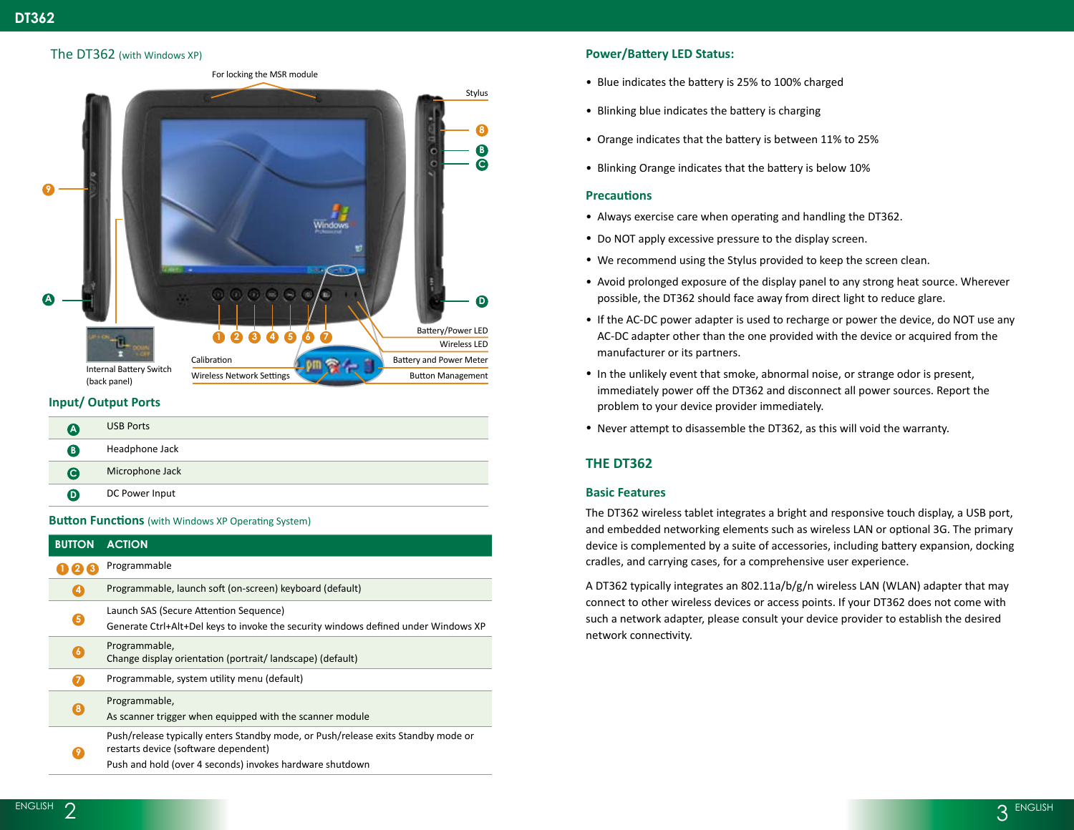## The DT362 (with Windows XP)



## **Input/ Output Ports**

| A                | <b>USB Ports</b> |
|------------------|------------------|
| B                | Headphone Jack   |
| $\mathbf \Theta$ | Microphone Jack  |
| Ø                | DC Power Input   |
|                  |                  |

**Button Functions** (with Windows XP Operating System)

| <b>ACTION</b>                                                                                                                                                                         |
|---------------------------------------------------------------------------------------------------------------------------------------------------------------------------------------|
| Programmable                                                                                                                                                                          |
| Programmable, launch soft (on-screen) keyboard (default)                                                                                                                              |
| Launch SAS (Secure Attention Sequence)<br>Generate Ctrl+Alt+Del keys to invoke the security windows defined under Windows XP                                                          |
| Programmable,<br>Change display orientation (portrait/landscape) (default)                                                                                                            |
| Programmable, system utility menu (default)                                                                                                                                           |
| Programmable,<br>As scanner trigger when equipped with the scanner module                                                                                                             |
| Push/release typically enters Standby mode, or Push/release exits Standby mode or<br>restarts device (software dependent)<br>Push and hold (over 4 seconds) invokes hardware shutdown |
|                                                                                                                                                                                       |

## **Power/Battery LED Status:**

- Blue indicates the battery is 25% to 100% charged
- Blinking blue indicates the battery is charging
- Orange indicates that the battery is between 11% to 25%
- Blinking Orange indicates that the battery is below 10%

## **Precautions**

- Always exercise care when operating and handling the DT362.
- Do NOT apply excessive pressure to the display screen.
- We recommend using the Stylus provided to keep the screen clean.
- Avoid prolonged exposure of the display panel to any strong heat source. Wherever possible, the DT362 should face away from direct light to reduce glare.
- If the AC-DC power adapter is used to recharge or power the device, do NOT use any AC-DC adapter other than the one provided with the device or acquired from the manufacturer or its partners.
- In the unlikely event that smoke, abnormal noise, or strange odor is present, immediately power off the DT362 and disconnect all power sources. Report the problem to your device provider immediately.
- Never attempt to disassemble the DT362, as this will void the warranty.

## **THE DT362**

#### **Basic Features**

The DT362 wireless tablet integrates a bright and responsive touch display, a USB port, and embedded networking elements such as wireless LAN or optional 3G. The primary device is complemented by a suite of accessories, including battery expansion, docking cradles, and carrying cases, for a comprehensive user experience.

A DT362 typically integrates an 802.11a/b/g/n wireless LAN (WLAN) adapter that may connect to other wireless devices or access points. If your DT362 does not come with such a network adapter, please consult your device provider to establish the desired network connectivity.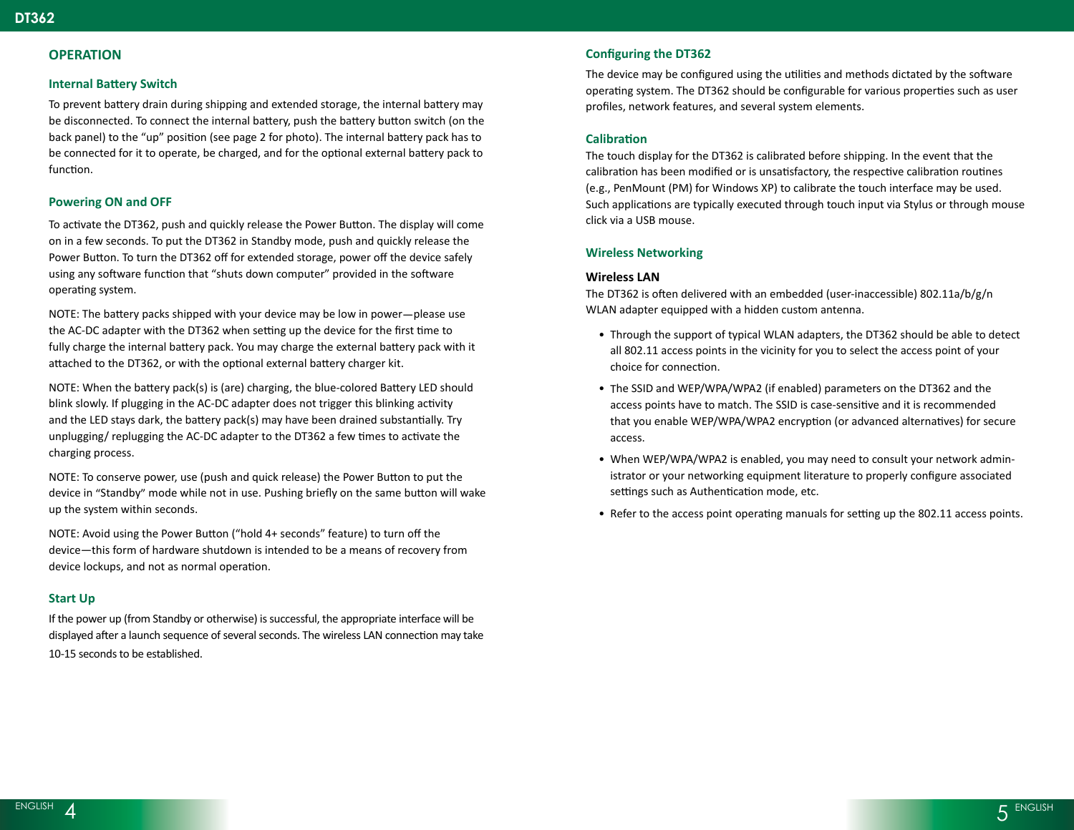## **OPERATION**

## **Internal Battery Switch**

To prevent battery drain during shipping and extended storage, the internal battery may be disconnected. To connect the internal battery, push the battery button switch (on the back panel) to the "up" position (see page 2 for photo). The internal battery pack has to be connected for it to operate, be charged, and for the optional external battery pack to function.

## **Powering ON and OFF**

To activate the DT362, push and quickly release the Power Button. The display will come on in a few seconds. To put the DT362 in Standby mode, push and quickly release the Power Button. To turn the DT362 off for extended storage, power off the device safely using any software function that "shuts down computer" provided in the software operating system.

NOTE: The battery packs shipped with your device may be low in power—please use the AC-DC adapter with the DT362 when setting up the device for the first time to fully charge the internal battery pack. You may charge the external battery pack with it attached to the DT362, or with the optional external battery charger kit.

NOTE: When the battery pack(s) is (are) charging, the blue-colored Battery LED should blink slowly. If plugging in the AC-DC adapter does not trigger this blinking activity and the LED stays dark, the battery pack(s) may have been drained substantially. Try unplugging/ replugging the AC-DC adapter to the DT362 a few times to activate the charging process.

NOTE: To conserve power, use (push and quick release) the Power Button to put the device in "Standby" mode while not in use. Pushing briefly on the same button will wake up the system within seconds.

NOTE: Avoid using the Power Button ("hold 4+ seconds" feature) to turn off the device—this form of hardware shutdown is intended to be a means of recovery from device lockups, and not as normal operation.

## **Start Up**

If the power up (from Standby or otherwise) is successful, the appropriate interface will be displayed after a launch sequence of several seconds. The wireless LAN connection may take 10-15 seconds to be established.

## **Configuring the DT362**

The device may be configured using the utilities and methods dictated by the software operating system. The DT362 should be configurable for various properties such as user profiles, network features, and several system elements.

## **Calibration**

The touch display for the DT362 is calibrated before shipping. In the event that the calibration has been modified or is unsatisfactory, the respective calibration routines (e.g., PenMount (PM) for Windows XP) to calibrate the touch interface may be used. Such applications are typically executed through touch input via Stylus or through mouse click via a USB mouse.

## **Wireless Networking**

## **Wireless LAN**

The DT362 is often delivered with an embedded (user-inaccessible) 802.11a/b/g/n WLAN adapter equipped with a hidden custom antenna.

- Through the support of typical WLAN adapters, the DT362 should be able to detect all 802.11 access points in the vicinity for you to select the access point of your choice for connection.
- The SSID and WEP/WPA/WPA2 (if enabled) parameters on the DT362 and the access points have to match. The SSID is case-sensitive and it is recommended that you enable WEP/WPA/WPA2 encryption (or advanced alternatives) for secure access.
- When WEP/WPA/WPA2 is enabled, you may need to consult your network administrator or your networking equipment literature to properly configure associated settings such as Authentication mode, etc.
- Refer to the access point operating manuals for setting up the 802.11 access points.